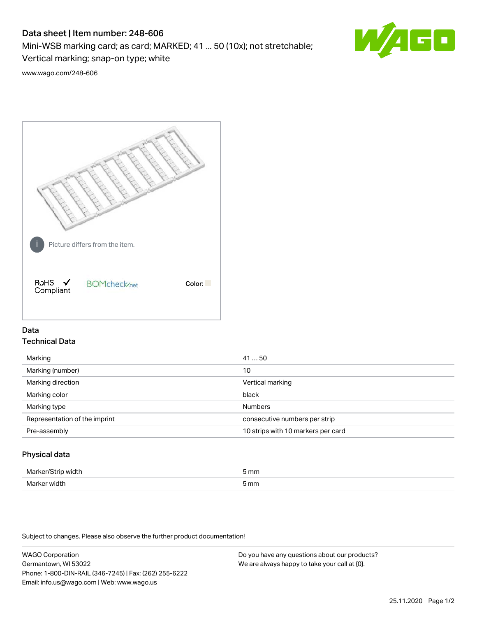# Data sheet | Item number: 248-606

Mini-WSB marking card; as card; MARKED; 41 ... 50 (10x); not stretchable;

Vertical marking; snap-on type; white

[www.wago.com/248-606](http://www.wago.com/248-606)



## Data Technical Data

| Marking                       | 4150                               |
|-------------------------------|------------------------------------|
| Marking (number)              | 10                                 |
| Marking direction             | Vertical marking                   |
| Marking color                 | black                              |
| Marking type                  | <b>Numbers</b>                     |
| Representation of the imprint | consecutive numbers per strip      |
| Pre-assembly                  | 10 strips with 10 markers per card |
|                               |                                    |

## Physical data

| Marke<br>ᅴᆂᆝ<br>ЭU<br>$  -$ | 5 mm         |
|-----------------------------|--------------|
| Marke<br>width              | mm<br>JUUUT. |

Subject to changes. Please also observe the further product documentation!

WAGO Corporation Germantown, WI 53022 Phone: 1-800-DIN-RAIL (346-7245) | Fax: (262) 255-6222 Email: info.us@wago.com | Web: www.wago.us Do you have any questions about our products? We are always happy to take your call at {0}.

60